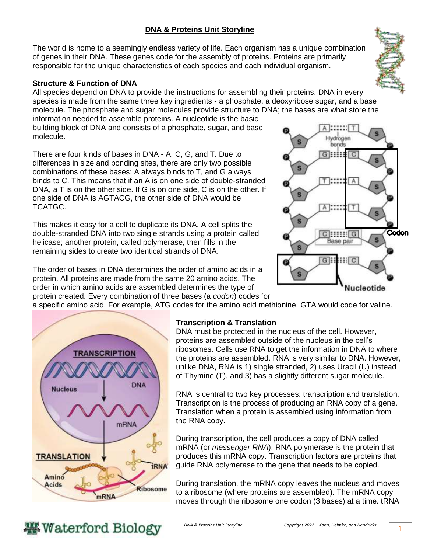## **DNA & Proteins Unit Storyline**

The world is home to a seemingly endless variety of life. Each organism has a unique combination of genes in their DNA. These genes code for the assembly of proteins. Proteins are primarily responsible for the unique characteristics of each species and each individual organism.

### **Structure & Function of DNA**

All species depend on DNA to provide the instructions for assembling their proteins. DNA in every species is made from the same three key ingredients - a phosphate, a deoxyribose sugar, and a base molecule. The phosphate and sugar molecules provide structure to DNA; the bases are what store the

information needed to assemble proteins. A nucleotide is the basic building block of DNA and consists of a phosphate, sugar, and base molecule.

There are four kinds of bases in DNA - A, C, G, and T. Due to differences in size and bonding sites, there are only two possible combinations of these bases: A always binds to T, and G always binds to C. This means that if an A is on one side of double-stranded DNA, a T is on the other side. If G is on one side, C is on the other. If one side of DNA is AGTACG, the other side of DNA would be TCATGC.

This makes it easy for a cell to duplicate its DNA. A cell splits the double-stranded DNA into two single strands using a protein called helicase; another protein, called polymerase, then fills in the remaining sides to create two identical strands of DNA.



The order of bases in DNA determines the order of amino acids in a protein. All proteins are made from the same 20 amino acids. The order in which amino acids are assembled determines the type of protein created. Every combination of three bases (a *codon*) codes for

a specific amino acid. For example, ATG codes for the amino acid methionine. GTA would code for valine.



### **Transcription & Translation**

DNA must be protected in the nucleus of the cell. However, proteins are assembled outside of the nucleus in the cell's ribosomes. Cells use RNA to get the information in DNA to where the proteins are assembled. RNA is very similar to DNA. However, unlike DNA, RNA is 1) single stranded, 2) uses Uracil (U) instead of Thymine (T), and 3) has a slightly different sugar molecule.

RNA is central to two key processes: transcription and translation. Transcription is the process of producing an RNA copy of a gene. Translation when a protein is assembled using information from the RNA copy.

During transcription, the cell produces a copy of DNA called mRNA (or *messenger RNA*). RNA polymerase is the protein that produces this mRNA copy. Transcription factors are proteins that guide RNA polymerase to the gene that needs to be copied.

During translation, the mRNA copy leaves the nucleus and moves to a ribosome (where proteins are assembled). The mRNA copy moves through the ribosome one codon (3 bases) at a time. tRNA



# *f**DIA <i>f <i>DIA*</del> *h <i><i>pMA & Proteins Unit Storyline Copyright 2022 – Kohn, Helmke, and Hendricks* **1**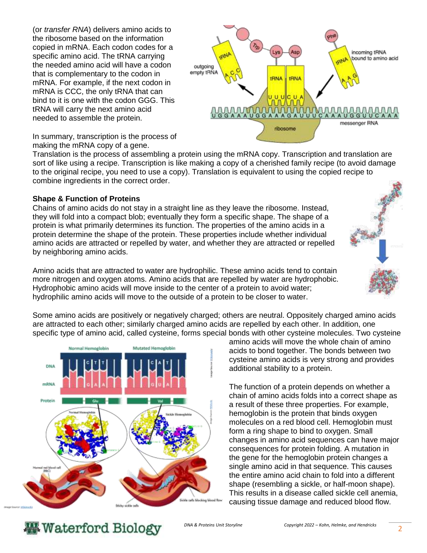(or *transfer RNA*) delivers amino acids to the ribosome based on the information copied in mRNA. Each codon codes for a specific amino acid. The tRNA carrying the needed amino acid will have a codon that is complementary to the codon in mRNA. For example, if the next codon in mRNA is CCC, the only tRNA that can bind to it is one with the codon GGG. This tRNA will carry the next amino acid needed to assemble the protein.



In summary, transcription is the process of making the mRNA copy of a gene.

Translation is the process of assembling a protein using the mRNA copy. Transcription and translation are sort of like using a recipe. Transcription is like making a copy of a cherished family recipe (to avoid damage to the original recipe, you need to use a copy). Translation is equivalent to using the copied recipe to combine ingredients in the correct order.

### **Shape & Function of Proteins**

Chains of amino acids do not stay in a straight line as they leave the ribosome. Instead, they will fold into a compact blob; eventually they form a specific shape. The shape of a protein is what primarily determines its function. The properties of the amino acids in a protein determine the shape of the protein. These properties include whether individual amino acids are attracted or repelled by water, and whether they are attracted or repelled by neighboring amino acids.

Amino acids that are attracted to water are hydrophilic. These amino acids tend to contain more nitrogen and oxygen atoms. Amino acids that are repelled by water are hydrophobic. Hydrophobic amino acids will move inside to the center of a protein to avoid water; hydrophilic amino acids will move to the outside of a protein to be closer to water.

Some amino acids are positively or negatively charged; others are neutral. Oppositely charged amino acids are attracted to each other; similarly charged amino acids are repelled by each other. In addition, one specific type of amino acid, called cysteine, forms special bonds with other cysteine molecules. Two cysteine



amino acids will move the whole chain of amino acids to bond together. The bonds between two cysteine amino acids is very strong and provides additional stability to a protein.

The function of a protein depends on whether a chain of amino acids folds into a correct shape as a result of these three properties. For example, hemoglobin is the protein that binds oxygen molecules on a red blood cell. Hemoglobin must form a ring shape to bind to oxygen. Small changes in amino acid sequences can have major consequences for protein folding. A mutation in the gene for the hemoglobin protein changes a single amino acid in that sequence. This causes the entire amino acid chain to fold into a different shape (resembling a sickle, or half-moon shape). This results in a disease called sickle cell anemia, causing tissue damage and reduced blood flow.

*f**DIA <i>f*  $\overline{D}$  *<i>DNA & Proteins Unit Storyline Copyright 2022 - Kohn, Helmke, and Hendricks* 2